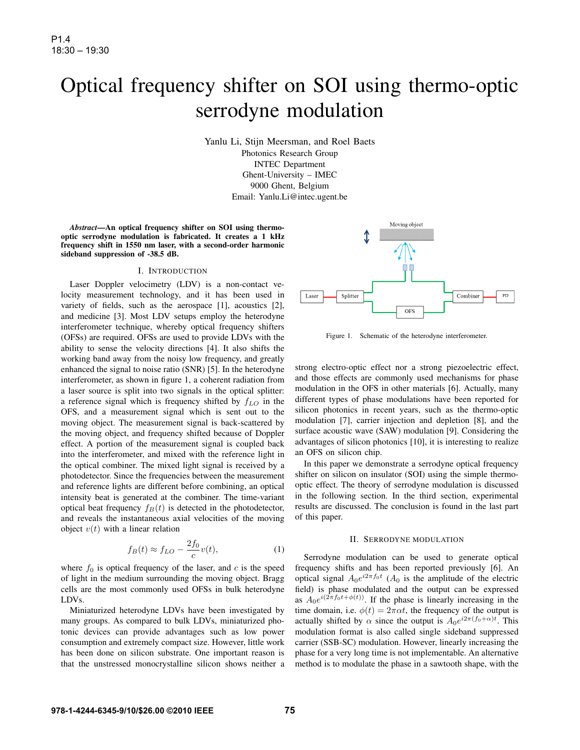# Optical frequency shifter on SOI using thermo-optic serrodyne modulation

Yanlu Li, Stijn Meersman, and Roel Baets Photonics Research Group INTEC Department Ghent-University – IMEC 9000 Ghent, Belgium Email: Yanlu.Li@intec.ugent.be

*Abstract*—An optical frequency shifter on SOI using thermooptic serrodyne modulation is fabricated. It creates a 1 kHz frequency shift in 1550 nm laser, with a second-order harmonic sideband suppression of -38.5 dB.

### I. INTRODUCTION

Laser Doppler velocimetry (LDV) is a non-contact velocity measurement technology, and it has been used in variety of fields, such as the aerospace [1], acoustics [2], and medicine [3]. Most LDV setups employ the heterodyne interferometer technique, whereby optical frequency shifters (OFSs) are required. OFSs are used to provide LDVs with the ability to sense the velocity directions [4]. It also shifts the working band away from the noisy low frequency, and greatly enhanced the signal to noise ratio (SNR) [5]. In the heterodyne interferometer, as shown in figure 1, a coherent radiation from a laser source is split into two signals in the optical splitter: a reference signal which is frequency shifted by  $f_{LO}$  in the OFS, and a measurement signal which is sent out to the moving object. The measurement signal is back-scattered by the moving object, and frequency shifted because of Doppler effect. A portion of the measurement signal is coupled back into the interferometer, and mixed with the reference light in the optical combiner. The mixed light signal is received by a photodetector. Since the frequencies between the measurement and reference lights are different before combining, an optical intensity beat is generated at the combiner. The time-variant optical beat frequency  $f_B(t)$  is detected in the photodetector, and reveals the instantaneous axial velocities of the moving object  $v(t)$  with a linear relation

$$
f_B(t) \approx f_{LO} - \frac{2f_0}{c} v(t),\tag{1}
$$

where  $f_0$  is optical frequency of the laser, and c is the speed of light in the medium surrounding the moving object. Bragg cells are the most commonly used OFSs in bulk heterodyne LDVs.

Miniaturized heterodyne LDVs have been investigated by many groups. As compared to bulk LDVs, miniaturized photonic devices can provide advantages such as low power consumption and extremely compact size. However, little work has been done on silicon substrate. One important reason is that the unstressed monocrystalline silicon shows neither a



Figure 1. Schematic of the heterodyne interferometer.

strong electro-optic effect nor a strong piezoelectric effect, and those effects are commonly used mechanisms for phase modulation in the OFS in other materials [6]. Actually, many different types of phase modulations have been reported for silicon photonics in recent years, such as the thermo-optic modulation [7], carrier injection and depletion [8], and the surface acoustic wave (SAW) modulation [9]. Considering the advantages of silicon photonics [10], it is interesting to realize an OFS on silicon chip.

In this paper we demonstrate a serrodyne optical frequency shifter on silicon on insulator (SOI) using the simple thermooptic effect. The theory of serrodyne modulation is discussed in the following section. In the third section, experimental results are discussed. The conclusion is found in the last part of this paper.

#### II. SERRODYNE MODULATION

Serrodyne modulation can be used to generate optical frequency shifts and has been reported previously [6]. An optical signal  $A_0e^{i2\pi f_0t}$  ( $A_0$  is the amplitude of the electric field) is phase modulated and the output can be expressed as  $A_0e^{i(2\pi f_0t+\phi(t))}$ . If the phase is linearly increasing in the time domain, i.e.  $\phi(t) = 2\pi\alpha t$ , the frequency of the output is actually shifted by  $\alpha$  since the output is  $A_0e^{i2\pi (f_0+\alpha)t}$ . This modulation format is also called single sideband suppressed carrier (SSB-SC) modulation. However, linearly increasing the phase for a very long time is not implementable. An alternative method is to modulate the phase in a sawtooth shape, with the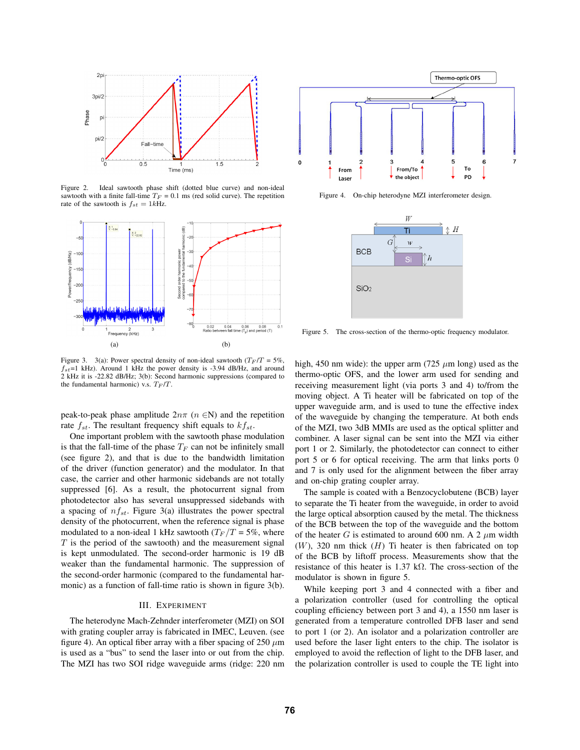

Figure 2. Ideal sawtooth phase shift (dotted blue curve) and non-ideal sawtooth with a finite fall-time  $T_F = 0.1$  ms (red solid curve). The repetition rate of the sawtooth is  $f_{st} = 1kHz$ .



Figure 3. 3(a): Power spectral density of non-ideal sawtooth ( $T_F/T = 5\%$ ,  $f_{st}$ =1 kHz). Around 1 kHz the power density is -3.94 dB/Hz, and around 2 kHz it is -22.82 dB/Hz; 3(b): Second harmonic suppressions (compared to the fundamental harmonic) v.s.  $T_F/T$ .

peak-to-peak phase amplitude  $2n\pi$  ( $n \in \mathbb{N}$ ) and the repetition rate  $f_{st}$ . The resultant frequency shift equals to  $kf_{st}$ .

One important problem with the sawtooth phase modulation is that the fall-time of the phase  $T_F$  can not be infinitely small (see figure 2), and that is due to the bandwidth limitation of the driver (function generator) and the modulator. In that case, the carrier and other harmonic sidebands are not totally suppressed [6]. As a result, the photocurrent signal from photodetector also has several unsuppressed sidebands with a spacing of  $nf_{st}$ . Figure 3(a) illustrates the power spectral density of the photocurrent, when the reference signal is phase modulated to a non-ideal 1 kHz sawtooth ( $T_F/T = 5\%$ , where  $T$  is the period of the sawtooth) and the measurement signal is kept unmodulated. The second-order harmonic is 19 dB weaker than the fundamental harmonic. The suppression of the second-order harmonic (compared to the fundamental harmonic) as a function of fall-time ratio is shown in figure 3(b).

#### III. EXPERIMENT

The heterodyne Mach-Zehnder interferometer (MZI) on SOI with grating coupler array is fabricated in IMEC, Leuven. (see figure 4). An optical fiber array with a fiber spacing of 250  $\mu$ m is used as a "bus" to send the laser into or out from the chip. The MZI has two SOI ridge waveguide arms (ridge: 220 nm



Figure 4. On-chip heterodyne MZI interferometer design.



Figure 5. The cross-section of the thermo-optic frequency modulator.

high, 450 nm wide): the upper arm (725  $\mu$ m long) used as the thermo-optic OFS, and the lower arm used for sending and receiving measurement light (via ports 3 and 4) to/from the moving object. A Ti heater will be fabricated on top of the upper waveguide arm, and is used to tune the effective index of the waveguide by changing the temperature. At both ends of the MZI, two 3dB MMIs are used as the optical splitter and combiner. A laser signal can be sent into the MZI via either port 1 or 2. Similarly, the photodetector can connect to either port 5 or 6 for optical receiving. The arm that links ports 0 and 7 is only used for the alignment between the fiber array and on-chip grating coupler array.

The sample is coated with a Benzocyclobutene (BCB) layer to separate the Ti heater from the waveguide, in order to avoid the large optical absorption caused by the metal. The thickness of the BCB between the top of the waveguide and the bottom of the heater G is estimated to around 600 nm. A 2  $\mu$ m width  $(W)$ , 320 nm thick  $(H)$  Ti heater is then fabricated on top of the BCB by liftoff process. Measurements show that the resistance of this heater is 1.37 kΩ. The cross-section of the modulator is shown in figure 5.

While keeping port 3 and 4 connected with a fiber and a polarization controller (used for controlling the optical coupling efficiency between port 3 and 4), a 1550 nm laser is generated from a temperature controlled DFB laser and send to port 1 (or 2). An isolator and a polarization controller are used before the laser light enters to the chip. The isolator is employed to avoid the reflection of light to the DFB laser, and the polarization controller is used to couple the TE light into